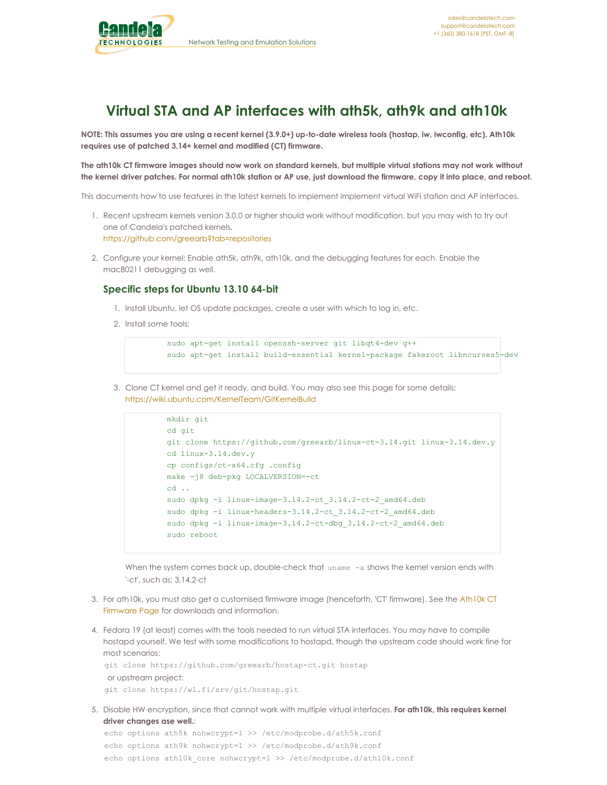

## **Virtual STA and AP interfaces with ath5k, ath9k and ath10k**

NOTE: This assumes you are using a recent kernel (3.9.0+) up-to-date wireless tools (hostap, iw, iwconfig, etc). Ath10k **requires use of patched 3.14+ kernel and modified (CT) firmware.**

The ath10k CT firmware images should now work on standard kernels, but multiple virtual stations may not work without the kernel driver patches. For normal ath10k station or AP use, just download the firmware, copy it into place, and reboot.

This documents how to use features in the latest kernels to implement implement virtual WiFi station and AP interfaces.

- 1. Recent upstream kernels version 3.0.0 or higher should work without modification, but you may wish to try out one of Candela's patched kernels. <https://github.com/greearb?tab=repositories>
- 2. Configure your kernel: Enable ath5k, ath9k, ath10k, and the debugging features for each. Enable the mac80211 debugging as well.

## **Specific steps for Ubuntu 13.10 64-bit**

- 1. Install Ubuntu, let OS update packages, create a user with which to log in, etc.
- 2. Install some tools:

```
sudo apt-get install openssh-server git libqt4-dev g++
sudo apt-get install build-essential kernel-package fakeroot libncurses5-dev
```
3. Clone CT kernel and get it ready, and build. You may also see this page for some details: <https://wiki.ubuntu.com/KernelTeam/GitKernelBuild>

```
mkdir git
cd git
git clone https://github.com/greearb/linux-ct-3.14.git linux-3.14.dev.y
cd linux-3.14.dev.y
cp configs/ct-x64.cfg .config
make -j8 deb-pkg LOCALVERSION=-ct
cd ..
sudo dpkg -i linux-image-3.14.2-ct 3.14.2-ct-2 amd64.deb
sudo dpkg -i linux-headers-3.14.2-ct_3.14.2-ct-2_amd64.deb
sudo dpkg -i linux-image-3.14.2-ct-dbg 3.14.2-ct-2 amd64.deb
sudo reboot
```
When the system comes back up, double-check that uname -a shows the kernel version ends with '-ct', such as: 3.14.2-ct

- 3. For ath10k, you must also get a customised firmware image [\(henceforth,](http://www.candelatech.com/ath10k.php) 'CT' firmware). See the Ath10k CT Firmware Page for downloads and information.
- 4. Fedora 19 (at least) comes with the tools needed to run virtual STA interfaces. You may have to compile hostapd yourself. We test with some modifications to hostapd, though the upstream code should work fine for most scenarios:

```
git clone https://github.com/greearb/hostap-ct.git hostap
or upstream project:
git clone https://w1.fi/srv/git/hostap.git
```
5. Disable HW encryption, since that cannot work with multiple virtual interfaces. **For ath10k, this requires kernel driver changes ase well.**:

```
echo options ath5k nohwcrypt=1 >> /etc/modprobe.d/ath5k.conf
echo options ath9k nohwcrypt=1 >> /etc/modprobe.d/ath9k.conf
echo options ath10k core nohwcrypt=1 >> /etc/modprobe.d/ath10k.conf
```